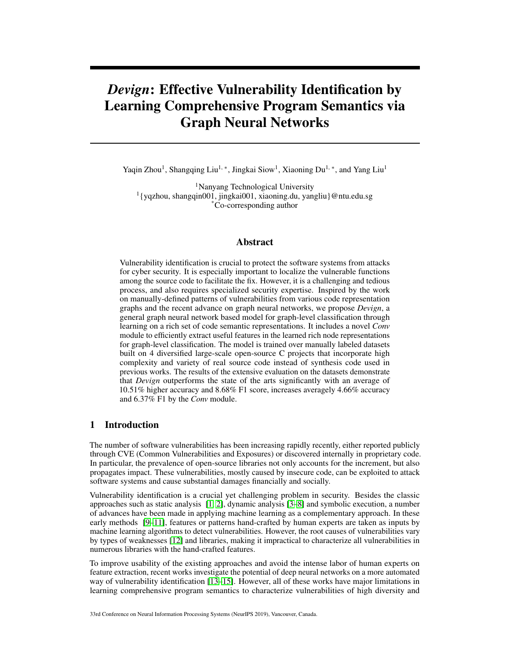# *Devign*: Effective Vulnerability Identification by Learning Comprehensive Program Semantics via Graph Neural Networks

Yaqin Zhou<sup>1</sup>, Shangqing Liu<sup>1,</sup> \*, Jingkai Siow<sup>1</sup>, Xiaoning Du<sup>1, \*</sup>, and Yang Liu<sup>1</sup>

<sup>1</sup>Nanyang Technological University 1 {yqzhou, shangqin001, jingkai001, xiaoning.du, yangliu}@ntu.edu.sg \*Co-corresponding author

## Abstract

Vulnerability identification is crucial to protect the software systems from attacks for cyber security. It is especially important to localize the vulnerable functions among the source code to facilitate the fix. However, it is a challenging and tedious process, and also requires specialized security expertise. Inspired by the work on manually-defined patterns of vulnerabilities from various code representation graphs and the recent advance on graph neural networks, we propose *Devign*, a general graph neural network based model for graph-level classification through learning on a rich set of code semantic representations. It includes a novel *Conv* module to efficiently extract useful features in the learned rich node representations for graph-level classification. The model is trained over manually labeled datasets built on 4 diversified large-scale open-source C projects that incorporate high complexity and variety of real source code instead of synthesis code used in previous works. The results of the extensive evaluation on the datasets demonstrate that *Devign* outperforms the state of the arts significantly with an average of 10.51% higher accuracy and 8.68% F1 score, increases averagely 4.66% accuracy and 6.37% F1 by the *Conv* module.

# 1 Introduction

The number of software vulnerabilities has been increasing rapidly recently, either reported publicly through CVE (Common Vulnerabilities and Exposures) or discovered internally in proprietary code. In particular, the prevalence of open-source libraries not only accounts for the increment, but also propagates impact. These vulnerabilities, mostly caused by insecure code, can be exploited to attack software systems and cause substantial damages financially and socially.

Vulnerability identification is a crucial yet challenging problem in security. Besides the classic approaches such as static analysis [1, 2], dynamic analysis [3–8] and symbolic execution, a number of advances have been made in applying machine learning as a complementary approach. In these early methods [9–11], features or patterns hand-crafted by human experts are taken as inputs by machine learning algorithms to detect vulnerabilities. However, the root causes of vulnerabilities vary by types of weaknesses [12] and libraries, making it impractical to characterize all vulnerabilities in numerous libraries with the hand-crafted features.

To improve usability of the existing approaches and avoid the intense labor of human experts on feature extraction, recent works investigate the potential of deep neural networks on a more automated way of vulnerability identification [13–15]. However, all of these works have major limitations in learning comprehensive program semantics to characterize vulnerabilities of high diversity and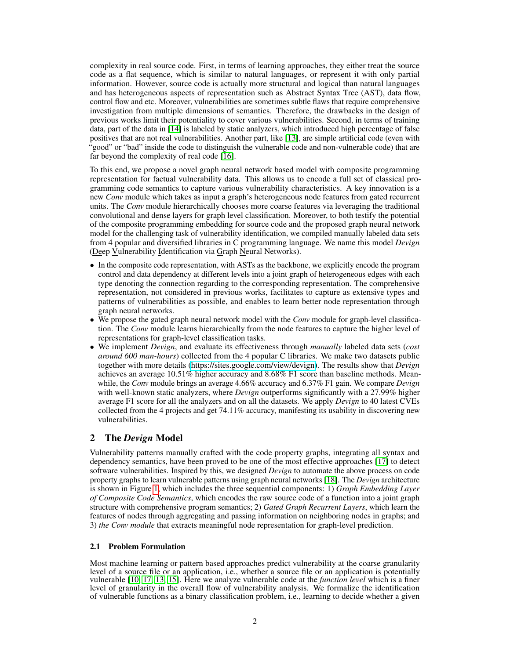complexity in real source code. First, in terms of learning approaches, they either treat the source code as a flat sequence, which is similar to natural languages, or represent it with only partial information. However, source code is actually more structural and logical than natural languages and has heterogeneous aspects of representation such as Abstract Syntax Tree (AST), data flow, control flow and etc. Moreover, vulnerabilities are sometimes subtle flaws that require comprehensive investigation from multiple dimensions of semantics. Therefore, the drawbacks in the design of previous works limit their potentiality to cover various vulnerabilities. Second, in terms of training data, part of the data in [14] is labeled by static analyzers, which introduced high percentage of false positives that are not real vulnerabilities. Another part, like [13], are simple artificial code (even with "good" or "bad" inside the code to distinguish the vulnerable code and non-vulnerable code) that are far beyond the complexity of real code [16].

To this end, we propose a novel graph neural network based model with composite programming representation for factual vulnerability data. This allows us to encode a full set of classical programming code semantics to capture various vulnerability characteristics. A key innovation is a new *Conv* module which takes as input a graph's heterogeneous node features from gated recurrent units. The *Conv* module hierarchically chooses more coarse features via leveraging the traditional convolutional and dense layers for graph level classification. Moreover, to both testify the potential of the composite programming embedding for source code and the proposed graph neural network model for the challenging task of vulnerability identification, we compiled manually labeled data sets from 4 popular and diversified libraries in C programming language. We name this model *Devign* (Deep Vulnerability Identification via Graph Neural Networks).

- In the composite code representation, with ASTs as the backbone, we explicitly encode the program control and data dependency at different levels into a joint graph of heterogeneous edges with each type denoting the connection regarding to the corresponding representation. The comprehensive representation, not considered in previous works, facilitates to capture as extensive types and patterns of vulnerabilities as possible, and enables to learn better node representation through graph neural networks.
- We propose the gated graph neural network model with the *Conv* module for graph-level classification. The *Conv* module learns hierarchically from the node features to capture the higher level of representations for graph-level classification tasks.
- We implement *Devign*, and evaluate its effectiveness through *manually* labeled data sets (*cost around 600 man-hours*) collected from the 4 popular C libraries. We make two datasets public together with more details [\(https://sites.google.com/view/devign\)](https://sites.google.com/view/devign). The results show that *Devign* achieves an average 10.51% higher accuracy and 8.68% F1 score than baseline methods. Meanwhile, the *Conv* module brings an average 4.66% accuracy and 6.37% F1 gain. We compare *Devign* with well-known static analyzers, where *Devign* outperforms significantly with a 27.99% higher average F1 score for all the analyzers and on all the datasets. We apply *Devign* to 40 latest CVEs collected from the 4 projects and get 74.11% accuracy, manifesting its usability in discovering new vulnerabilities.

# 2 The *Devign* Model

Vulnerability patterns manually crafted with the code property graphs, integrating all syntax and dependency semantics, have been proved to be one of the most effective approaches [17] to detect software vulnerabilities. Inspired by this, we designed *Devign* to automate the above process on code property graphs to learn vulnerable patterns using graph neural networks [18]. The *Devign* architecture is shown in Figure 1, which includes the three sequential components: 1) *Graph Embedding Layer of Composite Code Semantics*, which encodes the raw source code of a function into a joint graph structure with comprehensive program semantics; 2) *Gated Graph Recurrent Layers*, which learn the features of nodes through aggregating and passing information on neighboring nodes in graphs; and 3) *the Conv module* that extracts meaningful node representation for graph-level prediction.

## 2.1 Problem Formulation

Most machine learning or pattern based approaches predict vulnerability at the coarse granularity level of a source file or an application, i.e., whether a source file or an application is potentially vulnerable [10, 17, 13, 15]. Here we analyze vulnerable code at the *function level* which is a finer level of granularity in the overall flow of vulnerability analysis. We formalize the identification of vulnerable functions as a binary classification problem, i.e., learning to decide whether a given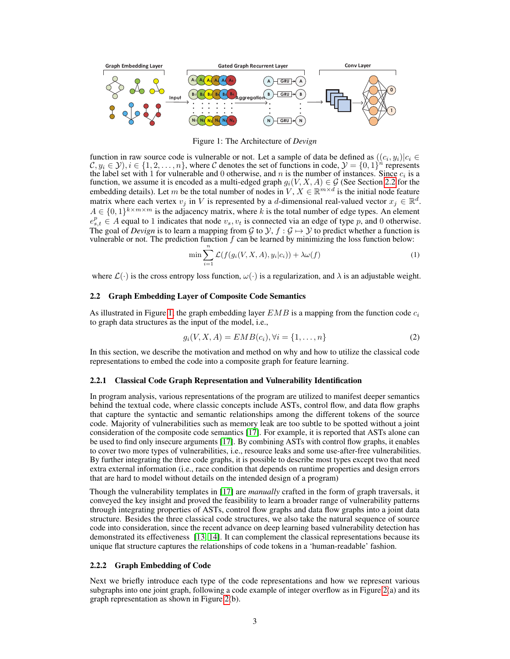

Figure 1: The Architecture of *Devign*

function in raw source code is vulnerable or not. Let a sample of data be defined as  $((c_i, y_i)|c_i \in$  $\mathcal{C}, y_i \in \mathcal{Y}, i \in \{1, 2, \dots, n\}$ , where C denotes the set of functions in code,  $\mathcal{Y} = \{0, 1\}^n$  represents the label set with 1 for vulnerable and 0 otherwise, and n is the number of instances. Since  $c_i$  is a function, we assume it is encoded as a multi-edged graph  $g_i(V, X, A) \in \mathcal{G}$  (See Section 2.2 for the embedding details). Let m be the total number of nodes in  $V, X \in \mathbb{R}^{m \times d}$  is the initial node feature matrix where each vertex  $v_j$  in V is represented by a d-dimensional real-valued vector  $x_j \in \mathbb{R}^d$ .  $A \in \{0,1\}^{k \times m \times m}$  is the adjacency matrix, where k is the total number of edge types. An element  $e_{s,t}^p \in A$  equal to 1 indicates that node  $v_s, v_t$  is connected via an edge of type p, and 0 otherwise. The goal of *Devign* is to learn a mapping from G to  $\mathcal{Y}, f : \mathcal{G} \mapsto \mathcal{Y}$  to predict whether a function is vulnerable or not. The prediction function  $f$  can be learned by minimizing the loss function below:

$$
\min \sum_{i=1}^{n} \mathcal{L}(f(g_i(V, X, A), y_i|c_i)) + \lambda \omega(f) \tag{1}
$$

where  $\mathcal{L}(\cdot)$  is the cross entropy loss function,  $\omega(\cdot)$  is a regularization, and  $\lambda$  is an adjustable weight.

### 2.2 Graph Embedding Layer of Composite Code Semantics

As illustrated in Figure 1, the graph embedding layer  $EMB$  is a mapping from the function code  $c_i$ to graph data structures as the input of the model, i.e.,

$$
g_i(V, X, A) = EMB(c_i), \forall i = \{1, ..., n\}
$$
 (2)

In this section, we describe the motivation and method on why and how to utilize the classical code representations to embed the code into a composite graph for feature learning.

#### 2.2.1 Classical Code Graph Representation and Vulnerability Identification

In program analysis, various representations of the program are utilized to manifest deeper semantics behind the textual code, where classic concepts include ASTs, control flow, and data flow graphs that capture the syntactic and semantic relationships among the different tokens of the source code. Majority of vulnerabilities such as memory leak are too subtle to be spotted without a joint consideration of the composite code semantics [17]. For example, it is reported that ASTs alone can be used to find only insecure arguments [17]. By combining ASTs with control flow graphs, it enables to cover two more types of vulnerabilities, i.e., resource leaks and some use-after-free vulnerabilities. By further integrating the three code graphs, it is possible to describe most types except two that need extra external information (i.e., race condition that depends on runtime properties and design errors that are hard to model without details on the intended design of a program)

Though the vulnerability templates in [17] are *manually* crafted in the form of graph traversals, it conveyed the key insight and proved the feasibility to learn a broader range of vulnerability patterns through integrating properties of ASTs, control flow graphs and data flow graphs into a joint data structure. Besides the three classical code structures, we also take the natural sequence of source code into consideration, since the recent advance on deep learning based vulnerability detection has demonstrated its effectiveness [13, 14]. It can complement the classical representations because its unique flat structure captures the relationships of code tokens in a 'human-readable' fashion.

#### 2.2.2 Graph Embedding of Code

Next we briefly introduce each type of the code representations and how we represent various subgraphs into one joint graph, following a code example of integer overflow as in Figure 2(a) and its graph representation as shown in Figure 2(b).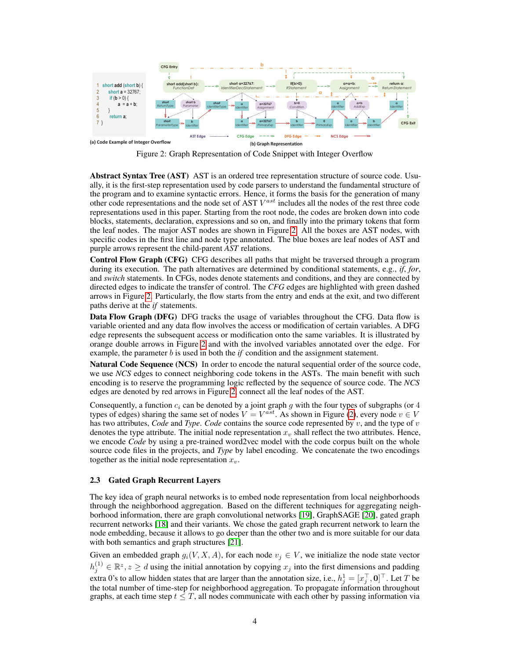

Figure 2: Graph Representation of Code Snippet with Integer Overflow

Abstract Syntax Tree (AST) AST is an ordered tree representation structure of source code. Usually, it is the first-step representation used by code parsers to understand the fundamental structure of the program and to examine syntactic errors. Hence, it forms the basis for the generation of many other code representations and the node set of AST  $V^{ast}$  includes all the nodes of the rest three code representations used in this paper. Starting from the root node, the codes are broken down into code blocks, statements, declaration, expressions and so on, and finally into the primary tokens that form the leaf nodes. The major AST nodes are shown in Figure 2. All the boxes are AST nodes, with specific codes in the first line and node type annotated. The blue boxes are leaf nodes of AST and purple arrows represent the child-parent *AST* relations.

Control Flow Graph (CFG) CFG describes all paths that might be traversed through a program during its execution. The path alternatives are determined by conditional statements, e.g., *if*, *for*, and *switch* statements. In CFGs, nodes denote statements and conditions, and they are connected by directed edges to indicate the transfer of control. The *CFG* edges are highlighted with green dashed arrows in Figure 2. Particularly, the flow starts from the entry and ends at the exit, and two different paths derive at the *if* statements.

Data Flow Graph (DFG) DFG tracks the usage of variables throughout the CFG. Data flow is variable oriented and any data flow involves the access or modification of certain variables. A DFG edge represents the subsequent access or modification onto the same variables. It is illustrated by orange double arrows in Figure 2 and with the involved variables annotated over the edge. For example, the parameter b is used in both the *if* condition and the assignment statement.

Natural Code Sequence (NCS) In order to encode the natural sequential order of the source code, we use *NCS* edges to connect neighboring code tokens in the ASTs. The main benefit with such encoding is to reserve the programming logic reflected by the sequence of source code. The *NCS* edges are denoted by red arrows in Figure 2, connect all the leaf nodes of the AST.

Consequently, a function  $c_i$  can be denoted by a joint graph g with the four types of subgraphs (or 4 types of edges) sharing the same set of nodes  $V = V^{ast}$ . As shown in Figure (2), every node  $v \in V$ has two attributes, *Code* and *Type*. *Code* contains the source code represented by v, and the type of v denotes the type attribute. The initial node representation  $x<sub>v</sub>$  shall reflect the two attributes. Hence, we encode *Code* by using a pre-trained word2vec model with the code corpus built on the whole source code files in the projects, and *Type* by label encoding. We concatenate the two encodings together as the initial node representation  $x_v$ .

## 2.3 Gated Graph Recurrent Layers

The key idea of graph neural networks is to embed node representation from local neighborhoods through the neighborhood aggregation. Based on the different techniques for aggregating neighborhood information, there are graph convolutional networks [19], GraphSAGE [20], gated graph recurrent networks [18] and their variants. We chose the gated graph recurrent network to learn the node embedding, because it allows to go deeper than the other two and is more suitable for our data with both semantics and graph structures [21].

Given an embedded graph  $g_i(V, X, A)$ , for each node  $v_j \in V$ , we initialize the node state vector  $h_j^{(1)} \in \mathbb{R}^z, z \geq d$  using the initial annotation by copying  $x_j$  into the first dimensions and padding extra 0's to allow hidden states that are larger than the annotation size, i.e.,  $h_j^1 = [x_j^\top, \mathbf{0}]^\top$ . Let T be the total number of time-step for neighborhood aggregation. To propagate information throughout graphs, at each time step  $t \leq T$ , all nodes communicate with each other by passing information via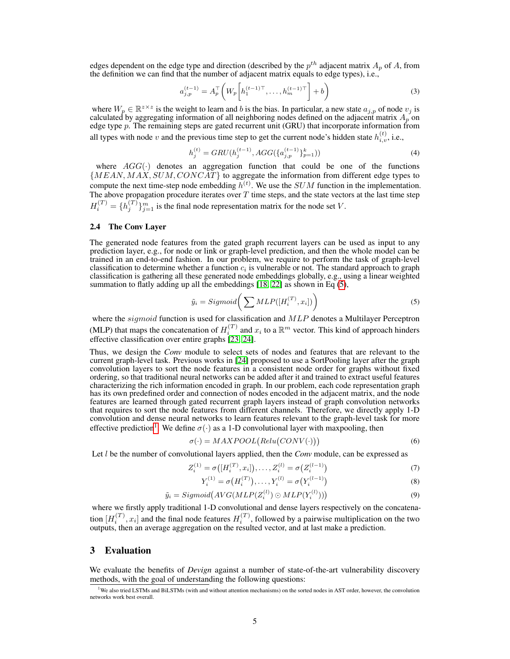edges dependent on the edge type and direction (described by the  $p^{th}$  adjacent matrix  $A_p$  of A, from the definition we can find that the number of adjacent matrix equals to edge types), i.e.,

$$
a_{j,p}^{(t-1)} = A_p^{\top} \left( W_p \left[ h_1^{(t-1)\top}, \dots, h_m^{(t-1)\top} \right] + b \right)
$$
 (3)

where  $W_p \in \mathbb{R}^{z \times z}$  is the weight to learn and b is the bias. In particular, a new state  $a_{j,p}$  of node  $v_j$  is calculated by aggregating information of all neighboring nodes defined on the adjacent matrix  $A_p$  on edge type p. The remaining steps are gated recurrent unit (GRU) that incorporate information from all types with node v and the previous time step to get the current node's hidden state  $h_{i,v}^{(t)}$ , i.e.,

$$
h_j^{(t)} = GRU(h_j^{(t-1)}, AGG(\{a_{j,p}^{(t-1)}\}_{p=1}^k))
$$
\n(4)

where  $AGG(\cdot)$  denotes an aggregation function that could be one of the functions  ${MEAN, MAX, SUM, CONCAT}$  to aggregate the information from different edge types to compute the next time-step node embedding  $h^{(t)}$ . We use the *SUM* function in the implementation. The above propagation procedure iterates over  $T$  time steps, and the state vectors at the last time step  $H_i^{(T)} = \{h_j^{(T)}\}_{j=1}^m$  is the final node representation matrix for the node set V.

#### 2.4 The Conv Layer

The generated node features from the gated graph recurrent layers can be used as input to any prediction layer, e.g., for node or link or graph-level prediction, and then the whole model can be trained in an end-to-end fashion. In our problem, we require to perform the task of graph-level classification to determine whether a function  $c_i$  is vulnerable or not. The standard approach to graph classification is gathering all these generated node embeddings globally, e.g., using a linear weighted summation to flatly adding up all the embeddings  $[18, 22]$  as shown in Eq  $(5)$ ,

$$
\tilde{y}_i = Sigmoid\bigg(\sum MLP([H_i^{(T)}, x_i])\bigg) \tag{5}
$$

where the *sigmoid* function is used for classification and MLP denotes a Multilayer Perceptron (MLP) that maps the concatenation of  $H_i^{(T)}$  and  $x_i$  to a  $\mathbb{R}^m$  vector. This kind of approach hinders effective classification over entire graphs [23, 24].

Thus, we design the *Conv* module to select sets of nodes and features that are relevant to the current graph-level task. Previous works in [24] proposed to use a SortPooling layer after the graph convolution layers to sort the node features in a consistent node order for graphs without fixed ordering, so that traditional neural networks can be added after it and trained to extract useful features characterizing the rich information encoded in graph. In our problem, each code representation graph has its own predefined order and connection of nodes encoded in the adjacent matrix, and the node features are learned through gated recurrent graph layers instead of graph convolution networks that requires to sort the node features from different channels. Therefore, we directly apply 1-D convolution and dense neural networks to learn features relevant to the graph-level task for more effective prediction<sup>1</sup>. We define  $\sigma(\cdot)$  as a 1-D convolutional layer with maxpooling, then

$$
\sigma(\cdot) = MAXPOOL\big(Relu\big(CONV(\cdot)\big)\big) \tag{6}
$$

Let *l* be the number of convolutional layers applied, then the *Conv* module, can be expressed as

$$
Z_i^{(1)} = \sigma([H_i^{(T)}, x_i]), \dots, Z_i^{(l)} = \sigma(Z_i^{(l-1)})
$$
\n(7)

$$
Y_i^{(1)} = \sigma(H_i^{(T)}), \dots, Y_i^{(l)} = \sigma(Y_i^{(l-1)})
$$
\n(8)

$$
\tilde{y}_i = Sigmoid\big(AVG(MLP(Z_i^{(l)}) \odot MLP(Y_i^{(l)}))\big) \tag{9}
$$

where we firstly apply traditional 1-D convolutional and dense layers respectively on the concatenation  $[H_i^{(T)}, x_i]$  and the final node features  $H_i^{(T)}$ , followed by a pairwise multiplication on the two outputs, then an average aggregation on the resulted vector, and at last make a prediction.

## 3 Evaluation

We evaluate the benefits of *Devign* against a number of state-of-the-art vulnerability discovery methods, with the goal of understanding the following questions:

<sup>&</sup>lt;sup>1</sup>We also tried LSTMs and BiLSTMs (with and without attention mechanisms) on the sorted nodes in AST order, however, the convolution networks work best overall.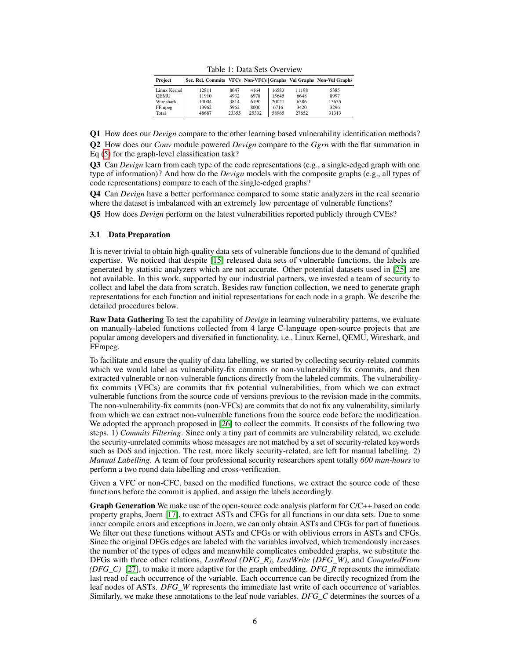| Project      | Sec. Rel. Commits VFCs Non-VFCs Graphs Vul Graphs Non-Vul Graphs |       |       |       |       |       |
|--------------|------------------------------------------------------------------|-------|-------|-------|-------|-------|
| Linux Kernel | 12811                                                            | 8647  | 4164  | 16583 | 11198 | 5385  |
| <b>OEMU</b>  | 11910                                                            | 4932  | 6978  | 15645 | 6648  | 8997  |
| Wireshark    | 10004                                                            | 3814  | 6190  | 20021 | 6386  | 13635 |
| FFmpeg       | 13962                                                            | 5962  | 8000  | 6716  | 3420  | 3296  |
| Total        | 48687                                                            | 23355 | 25332 | 58965 | 27652 | 31313 |

Table 1: Data Sets Overview

Q1 How does our *Devign* compare to the other learning based vulnerability identification methods?

Q2 How does our *Conv* module powered *Devign* compare to the *Ggrn* with the flat summation in Eq (5) for the graph-level classification task?

Q3 Can *Devign* learn from each type of the code representations (e.g., a single-edged graph with one type of information)? And how do the *Devign* models with the composite graphs (e.g., all types of code representations) compare to each of the single-edged graphs?

Q4 Can *Devign* have a better performance compared to some static analyzers in the real scenario where the dataset is imbalanced with an extremely low percentage of vulnerable functions?

Q5 How does *Devign* perform on the latest vulnerabilities reported publicly through CVEs?

#### 3.1 Data Preparation

It is never trivial to obtain high-quality data sets of vulnerable functions due to the demand of qualified expertise. We noticed that despite [15] released data sets of vulnerable functions, the labels are generated by statistic analyzers which are not accurate. Other potential datasets used in [25] are not available. In this work, supported by our industrial partners, we invested a team of security to collect and label the data from scratch. Besides raw function collection, we need to generate graph representations for each function and initial representations for each node in a graph. We describe the detailed procedures below.

Raw Data Gathering To test the capability of *Devign* in learning vulnerability patterns, we evaluate on manually-labeled functions collected from 4 large C-language open-source projects that are popular among developers and diversified in functionality, i.e., Linux Kernel, QEMU, Wireshark, and FFmpeg.

To facilitate and ensure the quality of data labelling, we started by collecting security-related commits which we would label as vulnerability-fix commits or non-vulnerability fix commits, and then extracted vulnerable or non-vulnerable functions directly from the labeled commits. The vulnerabilityfix commits (VFCs) are commits that fix potential vulnerabilities, from which we can extract vulnerable functions from the source code of versions previous to the revision made in the commits. The non-vulnerability-fix commits (non-VFCs) are commits that do not fix any vulnerability, similarly from which we can extract non-vulnerable functions from the source code before the modification. We adopted the approach proposed in [26] to collect the commits. It consists of the following two steps. 1) *Commits Filtering*. Since only a tiny part of commits are vulnerability related, we exclude the security-unrelated commits whose messages are not matched by a set of security-related keywords such as DoS and injection. The rest, more likely security-related, are left for manual labelling. 2) *Manual Labelling*. A team of four professional security researchers spent totally *600 man-hours* to perform a two round data labelling and cross-verification.

Given a VFC or non-CFC, based on the modified functions, we extract the source code of these functions before the commit is applied, and assign the labels accordingly.

Graph Generation We make use of the open-source code analysis platform for C/C++ based on code property graphs, Joern [17], to extract ASTs and CFGs for all functions in our data sets. Due to some inner compile errors and exceptions in Joern, we can only obtain ASTs and CFGs for part of functions. We filter out these functions without ASTs and CFGs or with oblivious errors in ASTs and CFGs. Since the original DFGs edges are labeled with the variables involved, which tremendously increases the number of the types of edges and meanwhile complicates embedded graphs, we substitute the DFGs with three other relations, *LastRead (DFG\_R)*, *LastWrite (DFG\_W)*, and *ComputedFrom (DFG\_C)* [27], to make it more adaptive for the graph embedding. *DFG\_R* represents the immediate last read of each occurrence of the variable. Each occurrence can be directly recognized from the leaf nodes of ASTs. *DFG\_W* represents the immediate last write of each occurrence of variables. Similarly, we make these annotations to the leaf node variables. *DFG\_C* determines the sources of a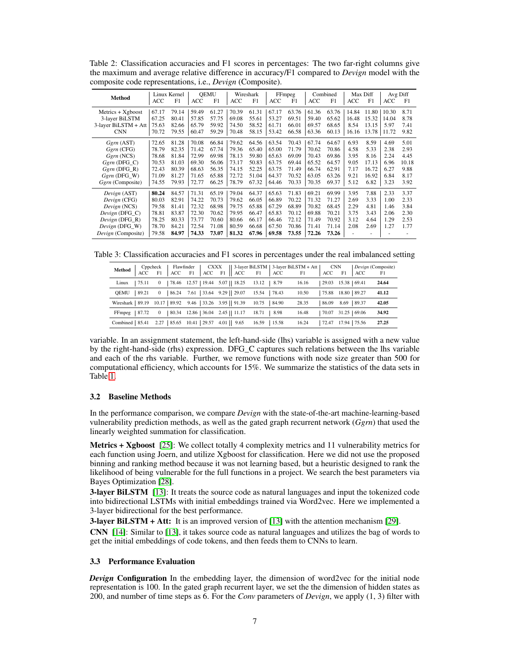| <b>Method</b>        | ACC   | Linux Kernel<br>F1 | <b>ACC</b> | <b>QEMU</b><br>F1 | <b>ACC</b> | Wireshark<br>F1 | ACC   | FFmpeg<br>F1 | ACC   | Combined<br>F1 | ACC   | Max Diff<br>F1 | Avg Diff<br>ACC | F1    |
|----------------------|-------|--------------------|------------|-------------------|------------|-----------------|-------|--------------|-------|----------------|-------|----------------|-----------------|-------|
|                      |       |                    |            |                   |            |                 |       |              |       |                |       |                |                 |       |
| $Metrics + Xgboost$  | 67.17 | 79.14              | 59.49      | 61.27             | 70.39      | 61.31           | 67.17 | 63.76        | 61.36 | 63.76          | 14.84 | 11.80          | 10.30           | 8.71  |
| 3-layer BiLSTM       | 67.25 | 80.41              | 57.85      | 57.75             | 69.08      | 55.61           | 53.27 | 69.51        | 59.40 | 65.62          | 16.48 | 15.32          | 14.04           | 8.78  |
| 3-layer BiLSTM + Att | 75.63 | 82.66              | 65.79      | 59.92             | 74.50      | 58.52           | 61.71 | 66.01        | 69.57 | 68.65          | 8.54  | 13.15          | 5.97            | 7.41  |
| <b>CNN</b>           | 70.72 | 79.55              | 60.47      | 59.29             | 70.48      | 58.15           | 53.42 | 66.58        | 63.36 | 60.13          | 16.16 | 13.78          | 11.72           | 9.82  |
|                      |       |                    |            |                   |            |                 |       |              |       |                |       |                |                 |       |
| $Ggrn$ (AST)         | 72.65 | 81.28              | 70.08      | 66.84             | 79.62      | 64.56           | 63.54 | 70.43        | 67.74 | 64.67          | 6.93  | 8.59           | 4.69            | 5.01  |
| $Ggrn$ (CFG)         | 78.79 | 82.35              | 71.42      | 67.74             | 79.36      | 65.40           | 65.00 | 71.79        | 70.62 | 70.86          | 4.58  | 5.33           | 2.38            | 2.93  |
| $Garn$ (NCS)         | 78.68 | 81.84              | 72.99      | 69.98             | 78.13      | 59.80           | 65.63 | 69.09        | 70.43 | 69.86          | 3.95  | 8.16           | 2.24            | 4.45  |
| $Ggrn$ (DFG C)       | 70.53 | 81.03              | 69.30      | 56.06             | 73.17      | 50.83           | 63.75 | 69.44        | 65.52 | 64.57          | 9.05  | 17.13          | 6.96            | 10.18 |
| $Ggrn$ (DFG R)       | 72.43 | 80.39              | 68.63      | 56.35             | 74.15      | 52.25           | 63.75 | 71.49        | 66.74 | 62.91          | 7.17  | 16.72          | 6.27            | 9.88  |
|                      |       |                    | 71.65      | 65.88             | 72.72      | 51.04           |       | 70.52        | 63.05 | 63.26          | 9.21  | 16.92          |                 | 8.17  |
| $Ggrn$ (DFG W)       | 71.09 | 81.27              |            |                   |            |                 | 64.37 |              |       |                |       |                | 6.84            |       |
| Ggrn (Composite)     | 74.55 | 79.93              | 72.77      | 66.25             | 78.79      | 67.32           | 64.46 | 70.33        | 70.35 | 69.37          | 5.12  | 6.82           | 3.23            | 3.92  |
| Devign (AST)         | 80.24 | 84.57              | 71.31      | 65.19             | 79.04      | 64.37           | 65.63 | 71.83        | 69.21 | 69.99          | 3.95  | 7.88           | 2.33            | 3.37  |
| Devign (CFG)         | 80.03 | 82.91              | 74.22      | 70.73             | 79.62      | 66.05           | 66.89 | 70.22        | 71.32 | 71.27          | 2.69  | 3.33           | 1.00            | 2.33  |
|                      | 79.58 | 81.41              | 72.32      | 68.98             | 79.75      | 65.88           | 67.29 | 68.89        | 70.82 | 68.45          | 2.29  | 4.81           | 1.46            | 3.84  |
| Devign (NCS)         |       |                    |            |                   |            |                 |       |              |       |                |       |                |                 |       |
| Devign (DFG C)       | 78.81 | 83.87              | 72.30      | 70.62             | 79.95      | 66.47           | 65.83 | 70.12        | 69.88 | 70.21          | 3.75  | 3.43           | 2.06            | 2.30  |
| Devign (DFG R)       | 78.25 | 80.33              | 73.77      | 70.60             | 80.66      | 66.17           | 66.46 | 72.12        | 71.49 | 70.92          | 3.12  | 4.64           | 1.29            | 2.53  |
| Devign (DFG W)       | 78.70 | 84.21              | 72.54      | 71.08             | 80.59      | 66.68           | 67.50 | 70.86        | 71.41 | 71.14          | 2.08  | 2.69           | 1.27            | 1.77  |
| Devign (Composite)   | 79.58 | 84.97              | 74.33      | 73.07             | 81.32      | 67.96           | 69.58 | 73.55        | 72.26 | 73.26          |       |                |                 |       |

Table 2: Classification accuracies and F1 scores in percentages: The two far-right columns give the maximum and average relative difference in accuracy/F1 compared to *Devign* model with the composite code representations, i.e., *Devign* (Composite).

Table 3: Classification accuracies and F1 scores in percentages under the real imbalanced setting

|                                                                         |                |                                  | Method Cppcheck   Flawfinder   CXXX   3-layer BiLSTM   3-layer BiLSTM + Att   CNN   Devign (Composite)<br>ACC F1   ACC F1   ACC F1   ACC F1   ACC F1   ACC F1   ACC F1   ACC F1   ACC F1   ACC F1   ACC F1   ACC F1   ACC F1   AC |       |       |                            |       |
|-------------------------------------------------------------------------|----------------|----------------------------------|-----------------------------------------------------------------------------------------------------------------------------------------------------------------------------------------------------------------------------------|-------|-------|----------------------------|-------|
| 175.11<br>Linux                                                         | $\overline{0}$ |                                  | 78.46 12.57   19.44 5.07    18.25 13.12   8.79                                                                                                                                                                                    | 16.16 |       | 29.03 15.38 69.41          | 24.64 |
| OEMU<br>89.21                                                           | $\overline{0}$ |                                  | 86.24 7.61   33.64 9.29   29.07 15.54   78.43                                                                                                                                                                                     | 10.50 |       | $ 75.88 \t18.80 \t  89.27$ | 41.12 |
| Wireshark   89.19 10.17   89.92 9.46   33.26 3.95   91.39 10.75   84.90 |                |                                  |                                                                                                                                                                                                                                   | 28.35 | 86.09 | 8.69 89.37                 | 42.05 |
| $FFmpeg$ 87.72                                                          | $\overline{0}$ | 80.34 12.86   36.04 2.45   11.17 | 18.71   8.98                                                                                                                                                                                                                      | 16.48 |       | 70.07 31.25 69.06          | 34.92 |
| Combined   85.41 2.27   85.65 10.41   29.57 4.01   9.65 16.59   15.58   |                |                                  |                                                                                                                                                                                                                                   | 16.24 |       | $172.47$ 17.94   75.56     | 27.25 |

variable. In an assignment statement, the left-hand-side (lhs) variable is assigned with a new value by the right-hand-side (rhs) expression. DFG\_C captures such relations between the lhs variable and each of the rhs variable. Further, we remove functions with node size greater than 500 for computational efficiency, which accounts for 15%. We summarize the statistics of the data sets in Table 1.

#### 3.2 Baseline Methods

In the performance comparison, we compare *Devign* with the state-of-the-art machine-learning-based vulnerability prediction methods, as well as the gated graph recurrent network (*Ggrn*) that used the linearly weighted summation for classification.

Metrics + Xgboost [25]: We collect totally 4 complexity metrics and 11 vulnerability metrics for each function using Joern, and utilize Xgboost for classification. Here we did not use the proposed binning and ranking method because it was not learning based, but a heuristic designed to rank the likelihood of being vulnerable for the full functions in a project. We search the best parameters via Bayes Optimization [28].

**3-layer BiLSTM** [13]: It treats the source code as natural languages and input the tokenized code into bidirectional LSTMs with initial embeddings trained via Word2vec. Here we implemented a 3-layer bidirectional for the best performance.

3-layer BiLSTM + Att: It is an improved version of [13] with the attention mechanism [29].

CNN [14]: Similar to [13], it takes source code as natural languages and utilizes the bag of words to get the initial embeddings of code tokens, and then feeds them to CNNs to learn.

#### 3.3 Performance Evaluation

*Devign* Configuration In the embedding layer, the dimension of word2vec for the initial node representation is 100. In the gated graph recurrent layer, we set the the dimension of hidden states as 200, and number of time steps as 6. For the *Conv* parameters of *Devign*, we apply (1, 3) filter with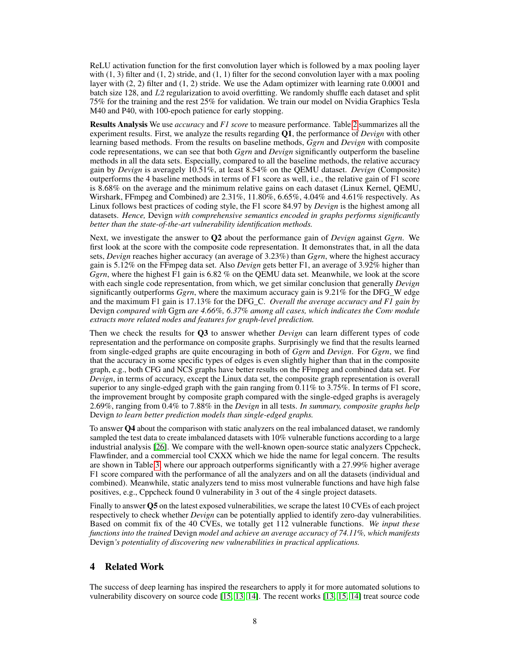ReLU activation function for the first convolution layer which is followed by a max pooling layer with  $(1, 3)$  filter and  $(1, 2)$  stride, and  $(1, 1)$  filter for the second convolution layer with a max pooling layer with (2, 2) filter and (1, 2) stride. We use the Adam optimizer with learning rate 0.0001 and batch size 128, and L2 regularization to avoid overfitting. We randomly shuffle each dataset and split 75% for the training and the rest 25% for validation. We train our model on Nvidia Graphics Tesla M40 and P40, with 100-epoch patience for early stopping.

Results Analysis We use *accuracy* and *F1 score* to measure performance. Table 2 summarizes all the experiment results. First, we analyze the results regarding Q1, the performance of *Devign* with other learning based methods. From the results on baseline methods, *Ggrn* and *Devign* with composite code representations, we can see that both *Ggrn* and *Devign* significantly outperform the baseline methods in all the data sets. Especially, compared to all the baseline methods, the relative accuracy gain by *Devign* is averagely 10.51%, at least 8.54% on the QEMU dataset. *Devign* (Composite) outperforms the 4 baseline methods in terms of F1 score as well, i.e., the relative gain of F1 score is 8.68% on the average and the minimum relative gains on each dataset (Linux Kernel, QEMU, Wirshark, FFmpeg and Combined) are 2.31%, 11.80%, 6.65%, 4.04% and 4.61% respectively. As Linux follows best practices of coding style, the F1 score 84.97 by *Devign* is the highest among all datasets. *Hence,* Devign *with comprehensive semantics encoded in graphs performs significantly better than the state-of-the-art vulnerability identification methods.*

Next, we investigate the answer to Q2 about the performance gain of *Devign* against *Ggrn*. We first look at the score with the composite code representation. It demonstrates that, in all the data sets, *Devign* reaches higher accuracy (an average of 3.23%) than *Ggrn*, where the highest accuracy gain is 5.12% on the FFmpeg data set. Also *Devign* gets better F1, an average of 3.92% higher than *Ggrn*, where the highest F1 gain is 6.82 % on the QEMU data set. Meanwhile, we look at the score with each single code representation, from which, we get similar conclusion that generally *Devign* significantly outperforms *Ggrn*, where the maximum accuracy gain is 9.21% for the DFG\_W edge and the maximum F1 gain is 17.13% for the DFG\_C. *Overall the average accuracy and F1 gain by* Devign *compared with* Ggrn *are 4.66%, 6.37% among all cases, which indicates the Conv module extracts more related nodes and features for graph-level prediction.*

Then we check the results for Q3 to answer whether *Devign* can learn different types of code representation and the performance on composite graphs. Surprisingly we find that the results learned from single-edged graphs are quite encouraging in both of *Ggrn* and *Devign*. For *Ggrn*, we find that the accuracy in some specific types of edges is even slightly higher than that in the composite graph, e.g., both CFG and NCS graphs have better results on the FFmpeg and combined data set. For *Devign*, in terms of accuracy, except the Linux data set, the composite graph representation is overall superior to any single-edged graph with the gain ranging from 0.11% to 3.75%. In terms of F1 score, the improvement brought by composite graph compared with the single-edged graphs is averagely 2.69%, ranging from 0.4% to 7.88% in the *Devign* in all tests. *In summary, composite graphs help* Devign *to learn better prediction models than single-edged graphs.*

To answer Q4 about the comparison with static analyzers on the real imbalanced dataset, we randomly sampled the test data to create imbalanced datasets with 10% vulnerable functions according to a large industrial analysis [26]. We compare with the well-known open-source static analyzers Cppcheck, Flawfinder, and a commercial tool CXXX which we hide the name for legal concern. The results are shown in Table 3, where our approach outperforms significantly with a 27.99% higher average F1 score compared with the performance of all the analyzers and on all the datasets (individual and combined). Meanwhile, static analyzers tend to miss most vulnerable functions and have high false positives, e.g., Cppcheck found 0 vulnerability in 3 out of the 4 single project datasets.

Finally to answer Q5 on the latest exposed vulnerabilities, we scrape the latest 10 CVEs of each project respectively to check whether *Devign* can be potentially applied to identify zero-day vulnerabilities. Based on commit fix of the 40 CVEs, we totally get 112 vulnerable functions. *We input these functions into the trained* Devign *model and achieve an average accuracy of 74.11%, which manifests* Devign*'s potentiality of discovering new vulnerabilities in practical applications.*

# 4 Related Work

The success of deep learning has inspired the researchers to apply it for more automated solutions to vulnerability discovery on source code [15, 13, 14]. The recent works [13, 15, 14] treat source code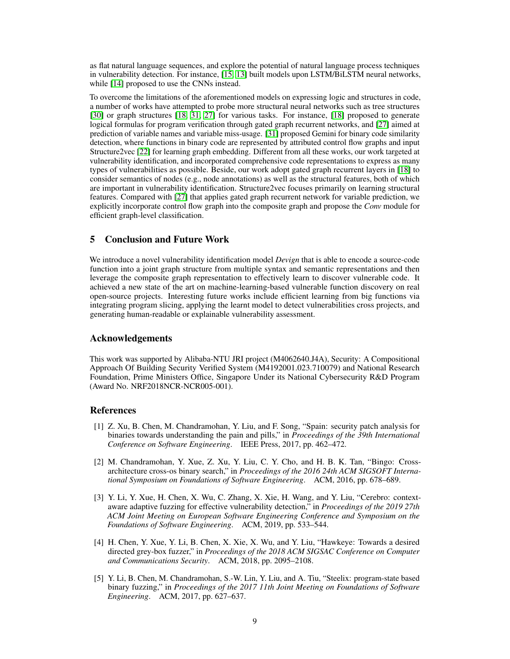as flat natural language sequences, and explore the potential of natural language process techniques in vulnerability detection. For instance, [15, 13] built models upon LSTM/BiLSTM neural networks, while [14] proposed to use the CNNs instead.

To overcome the limitations of the aforementioned models on expressing logic and structures in code, a number of works have attempted to probe more structural neural networks such as tree structures [30] or graph structures [18, 31, 27] for various tasks. For instance, [18] proposed to generate logical formulas for program verification through gated graph recurrent networks, and [27] aimed at prediction of variable names and variable miss-usage. [31] proposed Gemini for binary code similarity detection, where functions in binary code are represented by attributed control flow graphs and input Structure2vec [22] for learning graph embedding. Different from all these works, our work targeted at vulnerability identification, and incorporated comprehensive code representations to express as many types of vulnerabilities as possible. Beside, our work adopt gated graph recurrent layers in [18] to consider semantics of nodes (e.g., node annotations) as well as the structural features, both of which are important in vulnerability identification. Structure2vec focuses primarily on learning structural features. Compared with [27] that applies gated graph recurrent network for variable prediction, we explicitly incorporate control flow graph into the composite graph and propose the *Conv* module for efficient graph-level classification.

# 5 Conclusion and Future Work

We introduce a novel vulnerability identification model *Devign* that is able to encode a source-code function into a joint graph structure from multiple syntax and semantic representations and then leverage the composite graph representation to effectively learn to discover vulnerable code. It achieved a new state of the art on machine-learning-based vulnerable function discovery on real open-source projects. Interesting future works include efficient learning from big functions via integrating program slicing, applying the learnt model to detect vulnerabilities cross projects, and generating human-readable or explainable vulnerability assessment.

# Acknowledgements

This work was supported by Alibaba-NTU JRI project (M4062640.J4A), Security: A Compositional Approach Of Building Security Verified System (M4192001.023.710079) and National Research Foundation, Prime Ministers Office, Singapore Under its National Cybersecurity R&D Program (Award No. NRF2018NCR-NCR005-001).

## References

- [1] Z. Xu, B. Chen, M. Chandramohan, Y. Liu, and F. Song, "Spain: security patch analysis for binaries towards understanding the pain and pills," in *Proceedings of the 39th International Conference on Software Engineering*. IEEE Press, 2017, pp. 462–472.
- [2] M. Chandramohan, Y. Xue, Z. Xu, Y. Liu, C. Y. Cho, and H. B. K. Tan, "Bingo: Crossarchitecture cross-os binary search," in *Proceedings of the 2016 24th ACM SIGSOFT International Symposium on Foundations of Software Engineering*. ACM, 2016, pp. 678–689.
- [3] Y. Li, Y. Xue, H. Chen, X. Wu, C. Zhang, X. Xie, H. Wang, and Y. Liu, "Cerebro: contextaware adaptive fuzzing for effective vulnerability detection," in *Proceedings of the 2019 27th ACM Joint Meeting on European Software Engineering Conference and Symposium on the Foundations of Software Engineering*. ACM, 2019, pp. 533–544.
- [4] H. Chen, Y. Xue, Y. Li, B. Chen, X. Xie, X. Wu, and Y. Liu, "Hawkeye: Towards a desired directed grey-box fuzzer," in *Proceedings of the 2018 ACM SIGSAC Conference on Computer and Communications Security*. ACM, 2018, pp. 2095–2108.
- [5] Y. Li, B. Chen, M. Chandramohan, S.-W. Lin, Y. Liu, and A. Tiu, "Steelix: program-state based binary fuzzing," in *Proceedings of the 2017 11th Joint Meeting on Foundations of Software Engineering*. ACM, 2017, pp. 627–637.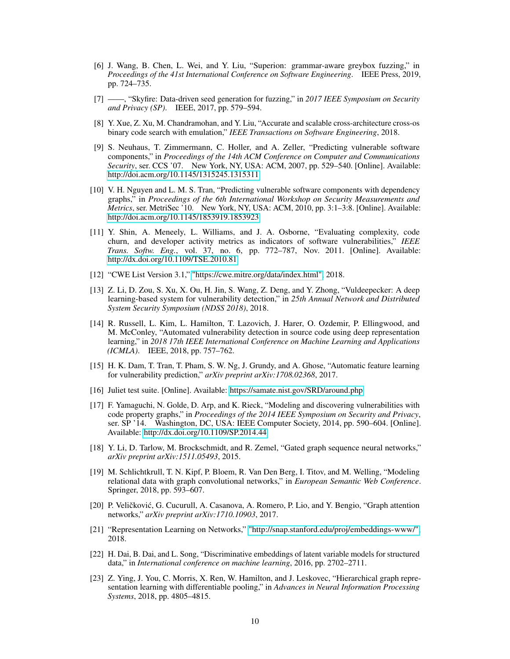- [6] J. Wang, B. Chen, L. Wei, and Y. Liu, "Superion: grammar-aware greybox fuzzing," in *Proceedings of the 41st International Conference on Software Engineering*. IEEE Press, 2019, pp. 724–735.
- [7] ——, "Skyfire: Data-driven seed generation for fuzzing," in *2017 IEEE Symposium on Security and Privacy (SP)*. IEEE, 2017, pp. 579–594.
- [8] Y. Xue, Z. Xu, M. Chandramohan, and Y. Liu, "Accurate and scalable cross-architecture cross-os binary code search with emulation," *IEEE Transactions on Software Engineering*, 2018.
- [9] S. Neuhaus, T. Zimmermann, C. Holler, and A. Zeller, "Predicting vulnerable software components," in *Proceedings of the 14th ACM Conference on Computer and Communications Security*, ser. CCS '07. New York, NY, USA: ACM, 2007, pp. 529–540. [Online]. Available: <http://doi.acm.org/10.1145/1315245.1315311>
- [10] V. H. Nguyen and L. M. S. Tran, "Predicting vulnerable software components with dependency graphs," in *Proceedings of the 6th International Workshop on Security Measurements and Metrics*, ser. MetriSec '10. New York, NY, USA: ACM, 2010, pp. 3:1–3:8. [Online]. Available: <http://doi.acm.org/10.1145/1853919.1853923>
- [11] Y. Shin, A. Meneely, L. Williams, and J. A. Osborne, "Evaluating complexity, code churn, and developer activity metrics as indicators of software vulnerabilities," *IEEE Trans. Softw. Eng.*, vol. 37, no. 6, pp. 772–787, Nov. 2011. [Online]. Available: <http://dx.doi.org/10.1109/TSE.2010.81>
- [12] "CWE List Version 3.1," ["https://cwe.mitre.org/data/index.html",]("https://cwe.mitre.org/data/index.html") 2018.
- [13] Z. Li, D. Zou, S. Xu, X. Ou, H. Jin, S. Wang, Z. Deng, and Y. Zhong, "Vuldeepecker: A deep learning-based system for vulnerability detection," in *25th Annual Network and Distributed System Security Symposium (NDSS 2018)*, 2018.
- [14] R. Russell, L. Kim, L. Hamilton, T. Lazovich, J. Harer, O. Ozdemir, P. Ellingwood, and M. McConley, "Automated vulnerability detection in source code using deep representation learning," in *2018 17th IEEE International Conference on Machine Learning and Applications (ICMLA)*. IEEE, 2018, pp. 757–762.
- [15] H. K. Dam, T. Tran, T. Pham, S. W. Ng, J. Grundy, and A. Ghose, "Automatic feature learning for vulnerability prediction," *arXiv preprint arXiv:1708.02368*, 2017.
- [16] Juliet test suite. [Online]. Available:<https://samate.nist.gov/SRD/around.php>
- [17] F. Yamaguchi, N. Golde, D. Arp, and K. Rieck, "Modeling and discovering vulnerabilities with code property graphs," in *Proceedings of the 2014 IEEE Symposium on Security and Privacy*, ser. SP '14. Washington, DC, USA: IEEE Computer Society, 2014, pp. 590–604. [Online]. Available:<http://dx.doi.org/10.1109/SP.2014.44>
- [18] Y. Li, D. Tarlow, M. Brockschmidt, and R. Zemel, "Gated graph sequence neural networks," *arXiv preprint arXiv:1511.05493*, 2015.
- [19] M. Schlichtkrull, T. N. Kipf, P. Bloem, R. Van Den Berg, I. Titov, and M. Welling, "Modeling relational data with graph convolutional networks," in *European Semantic Web Conference*. Springer, 2018, pp. 593–607.
- [20] P. Veličković, G. Cucurull, A. Casanova, A. Romero, P. Lio, and Y. Bengio, "Graph attention networks," *arXiv preprint arXiv:1710.10903*, 2017.
- [21] "Representation Learning on Networks," ["http://snap.stanford.edu/proj/embeddings-www/",]("http://snap.stanford.edu/proj/embeddings-www/") 2018.
- [22] H. Dai, B. Dai, and L. Song, "Discriminative embeddings of latent variable models for structured data," in *International conference on machine learning*, 2016, pp. 2702–2711.
- [23] Z. Ying, J. You, C. Morris, X. Ren, W. Hamilton, and J. Leskovec, "Hierarchical graph representation learning with differentiable pooling," in *Advances in Neural Information Processing Systems*, 2018, pp. 4805–4815.